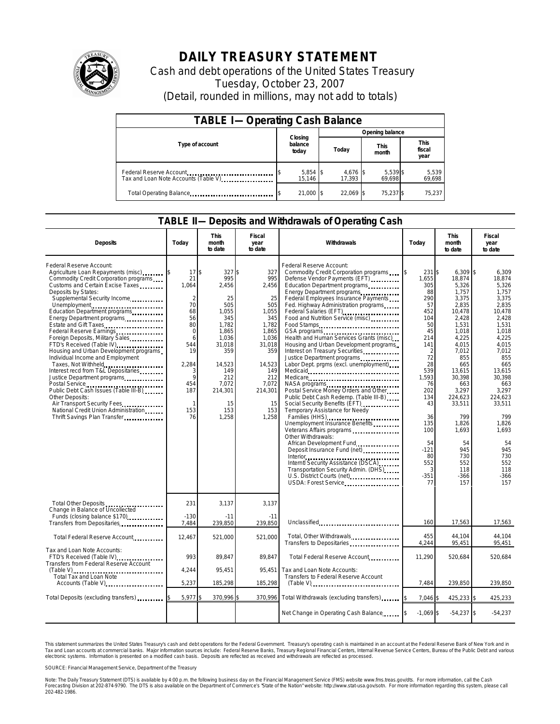

## **DAILY TREASURY STATEMENT**

Cash and debt operations of the United States Treasury Tuesday, October 23, 2007 (Detail, rounded in millions, may not add to totals)

| <b>TABLE I-Operating Cash Balance</b>                           |                             |                    |                      |                               |  |  |  |
|-----------------------------------------------------------------|-----------------------------|--------------------|----------------------|-------------------------------|--|--|--|
|                                                                 |                             | Opening balance    |                      |                               |  |  |  |
| Type of account                                                 | Closing<br>balance<br>today | Today              | <b>This</b><br>month | <b>This</b><br>fiscal<br>year |  |  |  |
| Federal Reserve Account<br>Tax and Loan Note Accounts (Table V) | 5,854 \$<br>15.146          | 4,676 \$<br>17.393 | 5,539 \$<br>69,698   | 5,539<br>69,698               |  |  |  |
| Total Operating Balance                                         | 21,000 \$                   | 22.069 \$          | 75.237 \$            | 75,237                        |  |  |  |

## **TABLE II—Deposits and Withdrawals of Operating Cash**

| <b>Deposits</b>                                                                                                                                                                                                                                                                                                                                                                                                                                                                                                                                                                                                                                                                                                                                       | Today                                                                                                                                           | This<br>month<br>to date                                                                                                                                              | Fiscal<br>year<br>to date                                                                                                                                      | Withdrawals                                                                                                                                                                                                                                                                                                                                                                                                                                                                                                                                                                                                                                                                                                                                                                                                                                                                                                                                                                                                                                                                                                                                                                                                                                                                                                                     | Today                                                                                                                                                                                                              | <b>This</b><br>month<br>to date                                                                                                                                                                                                                                             | Fiscal<br>year<br>to date                                                                                                                                                                                                                                            |  |
|-------------------------------------------------------------------------------------------------------------------------------------------------------------------------------------------------------------------------------------------------------------------------------------------------------------------------------------------------------------------------------------------------------------------------------------------------------------------------------------------------------------------------------------------------------------------------------------------------------------------------------------------------------------------------------------------------------------------------------------------------------|-------------------------------------------------------------------------------------------------------------------------------------------------|-----------------------------------------------------------------------------------------------------------------------------------------------------------------------|----------------------------------------------------------------------------------------------------------------------------------------------------------------|---------------------------------------------------------------------------------------------------------------------------------------------------------------------------------------------------------------------------------------------------------------------------------------------------------------------------------------------------------------------------------------------------------------------------------------------------------------------------------------------------------------------------------------------------------------------------------------------------------------------------------------------------------------------------------------------------------------------------------------------------------------------------------------------------------------------------------------------------------------------------------------------------------------------------------------------------------------------------------------------------------------------------------------------------------------------------------------------------------------------------------------------------------------------------------------------------------------------------------------------------------------------------------------------------------------------------------|--------------------------------------------------------------------------------------------------------------------------------------------------------------------------------------------------------------------|-----------------------------------------------------------------------------------------------------------------------------------------------------------------------------------------------------------------------------------------------------------------------------|----------------------------------------------------------------------------------------------------------------------------------------------------------------------------------------------------------------------------------------------------------------------|--|
| Federal Reserve Account:<br>Agriculture Loan Repayments (misc)<br>Commodity Credit Corporation programs<br>Customs and Certain Excise Taxes<br>Deposits by States:<br>Supplemental Security Income<br>Unemployment<br>Education Department programs<br>Energy Department programs<br>Estate and Gift Taxes<br>Federal Reserve Earnings<br>Foreign Deposits, Military Sales<br>FTD's Received (Table IV)<br>Housing and Urban Development programs<br>Individual Income and Employment<br>Taxes, Not Withheld<br>Interest recd from T&L Depositaries<br>Justice Department programs<br>Public Debt Cash Issues (Table III-B)<br>Other Deposits:<br>Air Transport Security Fees<br>National Credit Union Administration<br>Thrift Savings Plan Transfer | 17<br>21<br>1,064<br>$\mathfrak{D}$<br>70<br>68<br>56<br>80<br>$\mathbf 0$<br>6<br>544<br>19<br>2,284<br>3<br>q<br>454<br>187<br>1<br>153<br>76 | \$<br>327S<br>995<br>2,456<br>25<br>505<br>1,055<br>345<br>1.782<br>1,865<br>1,036<br>31,018<br>359<br>14,523<br>149<br>212<br>7,072<br>214,301<br>15<br>153<br>1.258 | 327<br>995<br>2,456<br>25<br>505<br>1,055<br>345<br>1.782<br>1,865<br>1,036<br>31,018<br>359<br>14,523<br>149<br>212<br>7,072<br>214,301<br>15<br>153<br>1.258 | Federal Reserve Account:<br>Commodity Credit Corporation programs<br>Defense Vendor Payments (EFT)<br>Education Department programs<br>Energy Department programs<br>Federal Employees Insurance Payments<br>Fed. Highway Administration programs<br>Federal Salaries (EFT)<br>1991 - The President California Contract California Contract California Contract California Contract California<br>2006 - The Contract California Contract California Contract California Contract Calif<br>Food and Nutrition Service (misc)<br>Food Stamps<br>GSA programs<br>Health and Human Services Grants (misc)<br>Housing and Urban Development programs<br>Interest on Treasury Securities.<br>Labor Dept. prgms (excl. unemployment)<br>NASA programs<br>Postal Service Money Orders and Other<br>Public Debt Cash Redemp. (Table III-B)<br>Social Security Benefits (EFT)<br>Temporary Assistance for Needy<br>Families (HHS)<br>Unemployment Insurance Benefits<br>Veterans Affairs programs<br>Other Withdrawals:<br>African Development Fund<br>Deposit Insurance Fund (net)<br>1999: The Marian Contract Insurance Fund (net)<br>1999: The Marian Contract Insurance Fund (net)<br>Interior<br>Interntl Security Assistance (DSCA)<br>Transportation Security Admin. (DHS)<br>U.S. District Courts (net)<br>USDA: Forest Service | 231 \$<br>1,655<br>305<br>88<br>290<br>57<br>452<br>104<br>50<br>45<br>214<br>141<br>2<br>72<br>28<br>539<br>1,593<br>76<br>202<br>134<br>43<br>36<br>135<br>100<br>54<br>$-121$<br>80<br>552<br>3<br>$-351$<br>77 | $6,309$ \$<br>18,874<br>5,326<br>1,757<br>3,375<br>2,835<br>10,478<br>2,428<br>1.531<br>1,018<br>4,225<br>4,015<br>7,012<br>855<br>665<br>13,615<br>30,398<br>663<br>3,297<br>224,623<br>33,511<br>799<br>1,826<br>1,693<br>54<br>945<br>730<br>552<br>118<br>$-366$<br>157 | 6.309<br>18.874<br>5,326<br>1.757<br>3.375<br>2,835<br>10,478<br>2,428<br>1.531<br>1,018<br>4,225<br>4,015<br>7,012<br>855<br>665<br>13.615<br>30.398<br>663<br>3.297<br>224,623<br>33,511<br>799<br>1,826<br>1.693<br>54<br>945<br>730<br>552<br>118<br>-366<br>157 |  |
| Total Other Deposits<br>Change in Balance of Uncollected<br>Funds (closing balance \$170)<br>Transfers from Depositaries                                                                                                                                                                                                                                                                                                                                                                                                                                                                                                                                                                                                                              | 231<br>$-130$<br>7,484                                                                                                                          | 3,137<br>$-11$<br>239,850                                                                                                                                             | 3,137<br>$-11$<br>239,850                                                                                                                                      | Unclassified                                                                                                                                                                                                                                                                                                                                                                                                                                                                                                                                                                                                                                                                                                                                                                                                                                                                                                                                                                                                                                                                                                                                                                                                                                                                                                                    | 160                                                                                                                                                                                                                | 17,563                                                                                                                                                                                                                                                                      | 17,563                                                                                                                                                                                                                                                               |  |
| Total Federal Reserve Account                                                                                                                                                                                                                                                                                                                                                                                                                                                                                                                                                                                                                                                                                                                         | 12,467                                                                                                                                          | 521.000                                                                                                                                                               | 521.000                                                                                                                                                        | Total, Other Withdrawals<br>Transfers to Depositaries                                                                                                                                                                                                                                                                                                                                                                                                                                                                                                                                                                                                                                                                                                                                                                                                                                                                                                                                                                                                                                                                                                                                                                                                                                                                           | 455<br>4,244                                                                                                                                                                                                       | 44.104<br>95,451                                                                                                                                                                                                                                                            | 44.104<br>95,451                                                                                                                                                                                                                                                     |  |
| Tax and Loan Note Accounts:<br>FTD's Received (Table IV)<br>Transfers from Federal Reserve Account<br>$(Table V)$<br>Total Tax and Loan Note<br>Accounts (Table V)                                                                                                                                                                                                                                                                                                                                                                                                                                                                                                                                                                                    | 993<br>4,244<br>5.237                                                                                                                           | 89.847<br>95,451<br>185,298                                                                                                                                           | 89.847<br>95.451<br>185,298                                                                                                                                    | Total Federal Reserve Account<br>Tax and Loan Note Accounts:<br>Transfers to Federal Reserve Account<br>$(Table V)$                                                                                                                                                                                                                                                                                                                                                                                                                                                                                                                                                                                                                                                                                                                                                                                                                                                                                                                                                                                                                                                                                                                                                                                                             | 11.290<br>7.484                                                                                                                                                                                                    | 520,684<br>239,850                                                                                                                                                                                                                                                          | 520.684<br>239.850                                                                                                                                                                                                                                                   |  |
| Total Deposits (excluding transfers)                                                                                                                                                                                                                                                                                                                                                                                                                                                                                                                                                                                                                                                                                                                  | 5,977                                                                                                                                           | 370,996                                                                                                                                                               | 370,996                                                                                                                                                        | Total Withdrawals (excluding transfers)                                                                                                                                                                                                                                                                                                                                                                                                                                                                                                                                                                                                                                                                                                                                                                                                                                                                                                                                                                                                                                                                                                                                                                                                                                                                                         | 7.046 \$                                                                                                                                                                                                           | 425,233 \$                                                                                                                                                                                                                                                                  | 425,233                                                                                                                                                                                                                                                              |  |
|                                                                                                                                                                                                                                                                                                                                                                                                                                                                                                                                                                                                                                                                                                                                                       |                                                                                                                                                 |                                                                                                                                                                       |                                                                                                                                                                | Net Change in Operating Cash Balance                                                                                                                                                                                                                                                                                                                                                                                                                                                                                                                                                                                                                                                                                                                                                                                                                                                                                                                                                                                                                                                                                                                                                                                                                                                                                            | $-1,069$ \$                                                                                                                                                                                                        | $-54,237$ \$                                                                                                                                                                                                                                                                | $-54,237$                                                                                                                                                                                                                                                            |  |

This statement summarizes the United States Treasury's cash and debt operations for the Federal Government. Treasury's operating cash is maintained in an account at the Federal Reserve Bank of New York and in<br>Tax and Loan narizes the United States Treasury's cash and debt operations for the Federal Government. Treasury's operating cash is maintained in an account at the Federal Reserve Bank of New York and in<br>ints at commercial banks. Major

SOURCE: Financial Management Service, Department of the Treasury

Note: The Daily Treasury Statement (DTS) is available by 4:00 p.m. the following business day on the Financial Management Service (FMS) website www.fms.treas.gov/dts. For more information, call the Cash<br>Forecasting Divisio 202-482-1986.